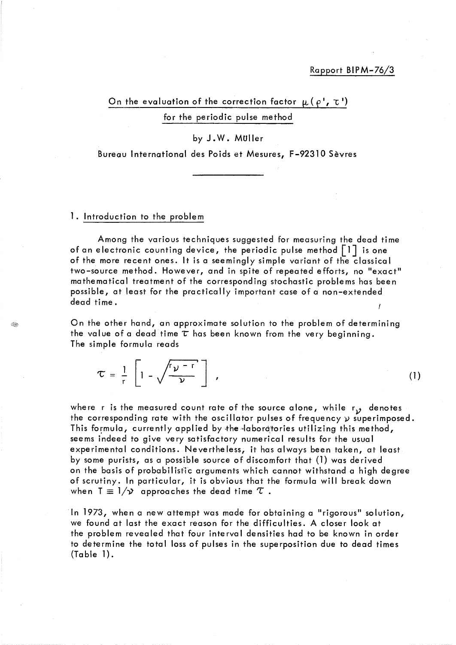### Rapport BIPM-76/3

On the evaluation of the correction factor  $\mu$  ( $\rho$ <sup>1</sup>,  $\tau$ <sup>1</sup>) for the periodic pulse method

# by J. W. Muller

Bureau International des Poids et Mesures, F-92310 Sèvres

#### 1. Introduction to the problem

GO.

Among the various techniques suggested for measuring the dead time of an electronic counting device, the periodic pulse method  $|1|$  is one of the more recent ones. It is a seemingly simple variant of the classical two-source method. However, and in spite of repeated efforts, no "exact" mathematical treatment of the corresponding stochastic problems has been possible, at least for the practically important case of a non-extended dead time.

On the other hand, an approximate solution to the problem of determining the value of a dead time  $\tau$  has been known from the very beginning. The simple formula reads

, (1)  $(1)$ 

where r is the measured count rate of the source alone, while  $r_{\mathcal{Y}}$  denotes the corresponding rate with the oscillator pulses of frequency  $\nu$  superimposed. This formula, currently applied by the labordtories utilizing this method, seems indeed to give very satisfactory numerical results for the usual experimental conditions. Nevertheless, it has always been taken, at least by sorne purists, as a possible source of discomfort that (1) was derived on the basis of probabilistic arguments which cannot withstand a high degree of scrutiny. In particular, it is obvious that the formula will break down when  $T \equiv 1/\mathcal{Y}$  approaches the dead time  $\mathcal{T}$ .

ln 1973, when a new attempt was made for obtaining a "rigorous" solution, we found at last the exact reason for the difficulties. A closer look at the problem revealed that four interval densities had to be known in order to determine the total loss of pulses in the superposition due to dead times (Table 1).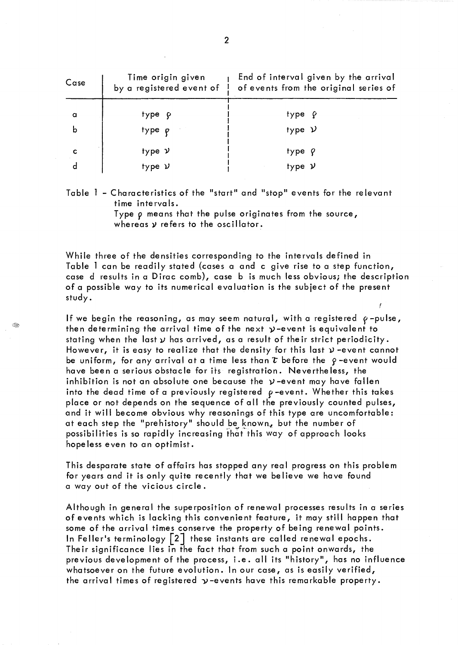| Case | Time origin given<br>by a registered event of ! | End of interval given by the arrival<br>of events from the original series of |
|------|-------------------------------------------------|-------------------------------------------------------------------------------|
| a    | type p                                          | type <i>ç</i>                                                                 |
| b    | type p                                          | type $\nu$                                                                    |
|      | type v                                          | $type$ $Q$                                                                    |
|      | type $\nu$                                      | type $\nu$                                                                    |

Table 1 - Characteristics of the "start" and "stop" events for the relevant time intervals.

> Type p means that the pulse originates from the source, whereas  $y$  refers to the oscillator.

While three of the densities corresponding to the intervals defined in Table 1 can be readily stated (cases a and c give rise to a step function, case d results in a Dirac comb), case b is much less obvious; the description of a possible way to its numerical evaluation is the subject of the present study.

If we begin the reasoning, as may seem natural, with a registered  $\rho$ -pulse, then determining the arrival time of the next  $y$ -event is equivalent to stating when the last  $\gamma$  has arrived, as a result of their strict periodicity. However, it is easy to realize that the density for this last  $\nu$  -event cannot be uniform, for any arrival at a time less than  $\tau$  before the  $\rho$ -event would have been a serious obstacle for its registration. Nevertheless, the inhibition is not an absolute one because the  $y$ -event may have fallen into the dead time of a previously registered  $\rho$ -event. Whether this takes place or not depends on the sequence of ail the previously counted pulses, and it will become obvious why reasonings of this type are uncomfortable: at each step the "prehistory" should be known, but the number of possibilities is so rapidly increasing that this way of approach looks hopeless even to an optimist.

This desparate state of affairs has stopped any real progress on this problem for years and it is only quite recently that we believe we have found a way out of the vicious circle.

Although in general the superposition of renewal processes results in a series of events which is lacking this convenient feature, it may still happen that some of the arrival times conserve the property of being renewal points. In Feller's terminology  $\lceil 2 \rceil$  these instants are called renewal epochs. Their significance lies in the fact that from such a point onwards, the previous development of the process, i.e. all its "history", has no influence whatsoever on the future evolution. In our case, as is easily verified, the arrival times of registered  $\nu$ -events have this remarkable property.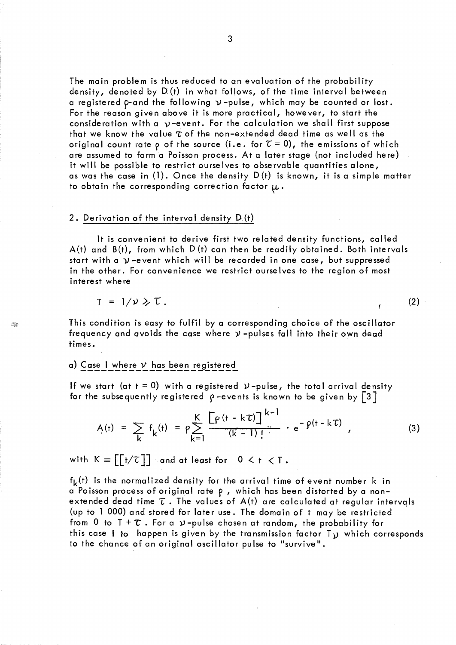The main problem is thus reduced to an evaluation of the probability density, denoted by  $D(t)$  in what follows, of the time interval between a registered p-and the following  $\nu$ -pulse, which may be counted or lost. For the reason given above it is more practical, however, to start the consideration with a  $y$ -event. For the calculation we shall first suppose that we know the value  $\tau$  of the non-extended dead time as well as the original count rate p of the source (i.e. for  $\tau=0$ ), the emissions of which are assumed to form a Poisson process. At a later stage (not included here) it will be possible to restrict ourse Ives to observable quantities alone, as was the case in (1). Once the density D (t) is known, it is a simple matter to obtain the corresponding correction factor  $\mu$ .

#### 2. Derivation of the interval density D(t)

It is convenient to derive first two related density functions, called  $A(t)$  and  $B(t)$ , from which  $D(t)$  can then be readily obtained. Both intervals start with a  $\nu$ -event which will be recorded in one case, but suppressed in the other. For convenience we restrict ourse Ives to the region of most interest where

$$
T = 1/\nu \geq \tau.
$$

S.

This condition is easy to fulfil by a corresponding choice of the oscillator frequency and avoids the case where  $y$  -pulses fall into their own dead times.

### a) Case I where  $\nu$  has been registered

If we start (at  $t = 0$ ) with a registered  $\nu$ -pulse, the total arrival density for the subsequently registered  $\rho$ -events is known to be given by [3]

$$
A(t) = \sum_{k} f_{k}(t) = \rho \sum_{k=1}^{K} \frac{\left[\rho(t - k\tau)\right]^{k-1}}{(k-1)!} \cdot e^{-\rho(t - k\tau)} \qquad (3)
$$

with  $K \equiv \lceil \lceil t/\tau \rceil \rceil$  and at least for  $0 \leq t \leq T$ .

 $f_k(t)$  is the normalized density for the arrival time of event number k in a Poisson process of original rate  $\rho$ , which has been distorted by a nonextended dead time  $\tau$ . The values of  $A(t)$  are calculated at regular intervals (up to l 000) and stored for later use. The domain of t may be restricted . from 0 to  $T + \tau$ . For a  $\gamma$ -pulse chosen at random, the probability for this case 1 to happen is given by the transmission factor *T<sub>V</sub>* which corresponds to the chance of an original oscillator pulse to "survive ".

 $(2)$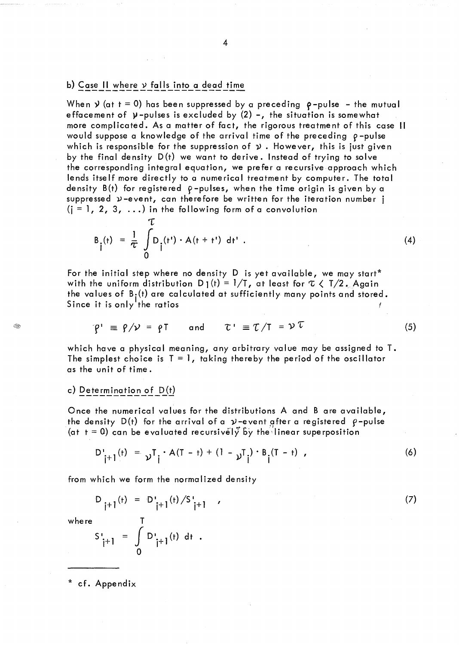# b) Case II where  $\nu$  falls into a dead time

 $\tau$ 

When  $y$  (at t = 0) has been suppressed by a preceding  $\rho$ -pulse - the mutual effacement of  $y$ -pulses is excluded by  $(2)$  -, the situation is somewhat more complicated. As a matter of fact, the rigorous treatment of this case Il would suppose a knowledge of the arrival time of the preceding  $\rho$ -pulse which is responsible for the suppression of  $y$ . However, this is just given by the final density D(t) we want to derive. Instead of trying to solve the corresponding integral equation, we prefer a recursive approach which lends itself more directly to a numerical treatment by computer. The total density  $B(t)$  for registered  $\rho$ -pulses, when the time origin is given by a suppressed  $\nu$ -event, can therefore be written for the iteration number j  $(i = 1, 2, 3, ...)$  in the following form of a convolution

$$
B_{\hat{i}}(t) = \frac{1}{\tau} \int_{0}^{L} D_{\hat{i}}(t') \cdot A(t + t') dt' . \qquad (4)
$$

For the initial step where no density D is yet available, we may start\* with the uniform distribution  $D_1(t) = 1/T$ , at least for  $\tau \in T/2$ . Again the values of  $B_i(t)$  are calculated at sufficiently many points and stored. Since it is only the ratios for  $\mathcal{F}$  , the ratio  $\mathcal{F}$ 

$$
\mathcal{C}' \equiv \mathcal{C}/\mathcal{V} = \mathcal{C}T \quad \text{and} \quad \mathcal{C}' \equiv \mathcal{C}/T = \mathcal{V} \mathcal{C} \tag{5}
$$

which have a physical meaning, any arbitrary value may be assigned to T. The simplest choice is  $T = 1$ , taking thereby the period of the oscillator as the unit of time.

### c) Determination of  $D(t)$

Once the numerical values for the distributions A and B are available, the density  $D(t)$  for the arrival of a  $\nu$ -event after a registered  $\rho$ -pulse (at  $t = 0$ ) can be evaluated recursively by the linear superposition

D'<sub>j+1</sub>(t) = 
$$
\nu^T j \cdot A(T - t) + (1 - \nu^T j) \cdot B_j(T - t)
$$
, (6)

from which we form the normalized density

$$
D_{j+1}(t) = D'_{j+1}(t) / S'_{j+1}
$$
 (7)

where

S.

$$
S_{j+1}^{i} = \int_{0}^{1} D_{j+1}^{i}(t) dt .
$$

\* cf. Appendix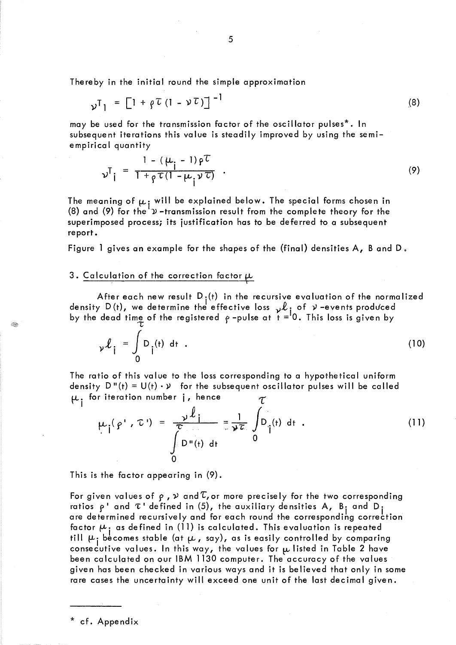Thereby in the initial round the simple approximation

$$
\gamma_{\mathbf{I}} = \left[1 + \rho \mathcal{L} \left(1 - \mathcal{V} \mathcal{L}\right)\right]^{-1} \tag{8}
$$

may be used for the transmission factor of the oscillator pulses\*. In subsequent iterations this value is steadily improved by using the semiempirical quantity

$$
\nu^{T}i = \frac{1 - (\mu_{i} - 1)\rho^{T}}{1 + \rho^{T}(1 - \mu_{i}\nu^{T})} \tag{9}
$$

The meaning of  $\mu$  , will be explained below. The special forms chosen in (8) and (9) for the  $^{\prime}$   $\!u$  -transmission result from the complete theory for the superimposed process; its justification has to be deferred to a subsequent report.

Figure 1 gives an example for the shapes of the (final) densities A, Band D.

# 3. Calculation of the correction factor  $\mu$

After each new result  $D_i(t)$  in the recursive evaluation of the normalized density D(t), we determine the effective loss  ${}_{\mathcal{V}}\mathcal{L}_{\textbf{i}}$  of  $\mathcal{V}$  -events produced by the dead time of the registered  $\,\varphi$  -pulse at  $\,\dot{t} = ^\mathsf{I} \mathsf{0}.$  This loss is given by

$$
\gamma \ell_i = \int_0^L D_i(t) dt .
$$
 (10)

The ratio of this value to the loss corresponding to a hypothetical uniform density  $D''(t) = U(t) \cdot \nu$  for the subsequent oscillator pulses will be called  $\mu$  for iteration number j, hence  $\tau$ 

$$
\mu_{\mathbf{i}}(p', \mathbf{t}') = \frac{\mathbf{v}^{\mathbf{j}}}{\int_{0}^{\mathbf{v}} D_{\mathbf{u}}(\mathbf{t}) d\mathbf{t}} = \frac{1}{\mathbf{v}^{\mathbf{i}}}\int_{0}^{\mathbf{v}} D_{\mathbf{i}}(\mathbf{t}) d\mathbf{t}
$$
 (11)

This is the factor appearing in (9).

For given values of  $\rho$  ,  $\nu$  and  $\tau$ , or more precisely for the two corresponding ratios  $\rho$  and  $\tau$  defined in (5), the auxiliary densities A, B<sub>i</sub> and D<sub>i</sub> are determined recursively and for each round the corresponding correction factor  $\mu_{\,\mathrm{i}}$  as defined in (11) is calculated. This evaluation is repeated till  $\mu_{\texttt{i}}$  becomes stable (at  $\mu$  , say), as is easily controlled by comparing consecutive values. In this way, the values for  $\mu$  listed in Table 2 have been calculated on our IBM 1130 computer. The accuracy of the values given has been checked in various ways and it is believed that only in some rare cases the uncertainty will exceed one unit of the last decimal given.

\* cf. Appendix

Œ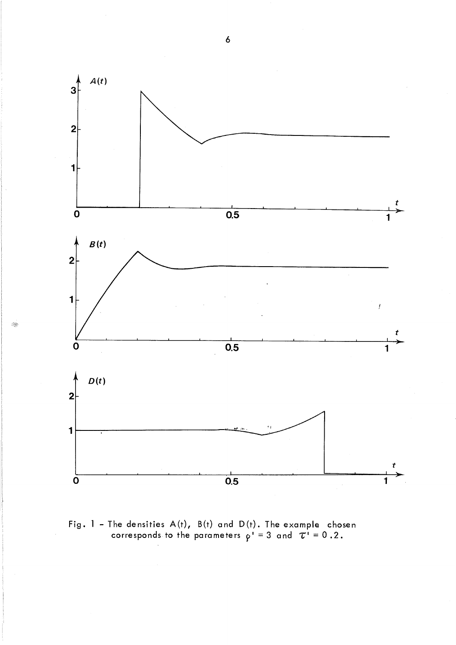

Í.

Fig. 1 – The densities A(t), B(t) and D(t). The example chosen<br>corresponds to the parameters  $\rho' = 3$  and  $\tau' = 0.2$ .

 $\ddot{\delta}$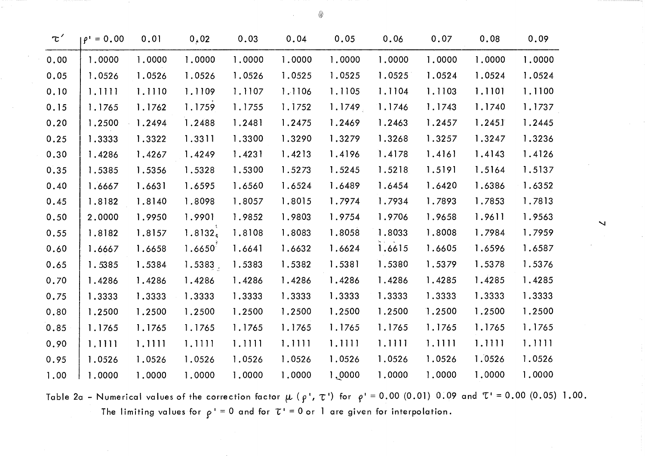| $\tau'$ | $\rho' = 0.00$ | 0.01   | 0,02         | 0.03   | 0.04   | 0.05   | 0.06   | 0.07   | 0.08   | 0.09   |                      |
|---------|----------------|--------|--------------|--------|--------|--------|--------|--------|--------|--------|----------------------|
| 0.00    | 1.0000         | 1.0000 | 1,0000       | 1.0000 | 1.0000 | 1.0000 | 1,0000 | 1.0000 | 1,0000 | 1.0000 |                      |
| 0.05    | 1.0526         | 1.0526 | 1.0526       | 1.0526 | 1.0525 | 1.0525 | 1.0525 | 1.0524 | 1.0524 | 1.0524 |                      |
| 0.10    | 1.1111         | 1.1110 | 1.1109       | 1.1107 | 1.1106 | 1.1105 | 1.1104 | 1.1103 | 1.1101 | 1.1100 |                      |
| 0.15    | 1.1765         | 1.1762 | 1.1759       | 1.1755 | 1.1752 | 1.1749 | 1.1746 | 1.1743 | 1.1740 | 1.1737 |                      |
| 0.20    | 1.2500         | 1.2494 | 1.2488       | 1.2481 | 1.2475 | 1.2469 | 1.2463 | 1.2457 | 1.245  | 1.2445 |                      |
| 0.25    | 1.3333         | 1.3322 | 1.3311       | 1.3300 | 1.3290 | 1.3279 | 1.3268 | 1.3257 | 1.3247 | 1.3236 |                      |
| 0.30    | 1.4286         | 1.4267 | 1.4249       | 1.4231 | 1.4213 | 1.4196 | 1.4178 | 1.4161 | 1.4143 | 1.4126 |                      |
| 0.35    | 1.5385         | 1.5356 | 1.5328       | 1.5300 | 1.5273 | 1.5245 | 1.5218 | 1.5191 | 1.5164 | 1.5137 |                      |
| 0.40    | 1.6667         | 1.6631 | 1.6595       | 1.6560 | 1.6524 | 1.6489 | 1.6454 | 1.6420 | 1.6386 | 1.6352 |                      |
| 0.45    | 1.8182         | 1.8140 | 1.8098       | 1.8057 | 1.8015 | 1.7974 | 1.7934 | 1.7893 | 1.7853 | 1.7813 |                      |
| 0.50    | 2.0000         | 1.9950 | 1.9901       | 1.9852 | 1.9803 | 1.9754 | 1.9706 | 1.9658 | 1.9611 | 1.9563 | $\blacktriangleleft$ |
| 0.55    | 1.8182         | 1.8157 | $1.8132_{*}$ | 1.8108 | 1.8083 | 1.8058 | 1.8033 | 1.8008 | 1.7984 | 1.7959 |                      |
| 0.60    | 1.6667         | 1.6658 | 1.6650       | 1.6641 | 1.6632 | 1.6624 | 1.6615 | 1.6605 | 1.6596 | 1.6587 |                      |
| 0.65    | 1.5385         | 1.5384 | 1.5383.      | 1.5383 | 1.5382 | 1.5381 | 1.5380 | 1.5379 | 1.5378 | 1.5376 |                      |
| 0.70    | 1.4286         | 1.4286 | 1.4286       | 1.4286 | 1.4286 | 1.4286 | 1.4286 | 1.4285 | 1.4285 | 1.4285 |                      |
| 0.75    | 1.3333         | 1.3333 | 1.3333       | 1.3333 | 1.3333 | 1.3333 | 1.3333 | 1.3333 | 1.3333 | 1.3333 |                      |
| 0.80    | 1.2500         | 1.2500 | 1.2500       | 1.2500 | 1.2500 | 1.2500 | 1.2500 | 1.2500 | 1.2500 | 1.2500 |                      |
| 0.85    | 1.1765         | 1.1765 | 1.1765       | 1.1765 | 1.1765 | 1.1765 | 1.1765 | 1.1765 | 1.1765 | 1.1765 |                      |
| 0.90    | 1.1111         | 1.1111 | 1.1111       | 1.1111 | 1.1111 | 1.1111 | 1.1111 | 1.1111 | 1.1111 | 1.1111 |                      |
| 0.95    | 1.0526         | 1.0526 | 1.0526       | 1.0526 | 1.0526 | 1.0526 | 1.0526 | 1.0526 | 1.0526 | 1.0526 |                      |
| 1.00    | 1,0000         | 1.0000 | 1.0000       | 1,0000 | 1.0000 | 1,0000 | 1.0000 | 1.0000 | 1.0000 | 1.0000 |                      |

Table 2a - Numerical values of the correction factor  $\mu$  ( $\rho$ ',  $\tau$ ') for  $\rho' = 0.00$  (0.01) 0.09 and  $\tau' = 0.00$  (0.05) 1.00. The limiting values for  $\rho' = 0$  and for  $\tau' = 0$  or 1 are given for interpolation.

◎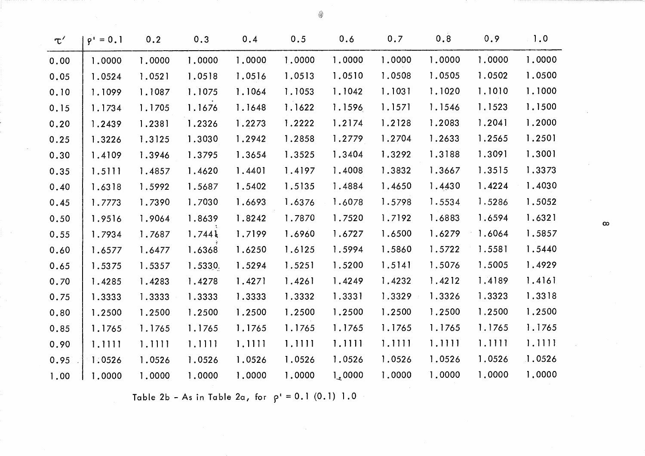| $\tau'$ | $\rho' = 0.1$ | 0.2    | 0.3     | 0.4    | 0.5    | 0.6              | 0.7    | 0.8    | 0.9    | 1.0    |          |
|---------|---------------|--------|---------|--------|--------|------------------|--------|--------|--------|--------|----------|
| 0.00    | 1.0000        | 1,0000 | 1.0000  | 1.0000 | 1.0000 | 1,0000           | 1.0000 | 1.0000 | 1.0000 | 1.0000 |          |
| 0.05    | 1.0524        | 1.0521 | 1.0518  | 1.0516 | 1.0513 | 1.0510           | 1.0508 | 1.0505 | 1.0502 | 1.0500 |          |
| 0.10    | 1.1099        | 1.1087 | 1.1075  | 1.1064 | 1.1053 | 1.1042           | 1.1031 | 1.1020 | 1.1010 | 1.1000 |          |
| 0.15    | 1.1734        | 1.1705 | 1.1676  | 1.1648 | 1.1622 | 1.1596           | 1.1571 | 1.1546 | 1.1523 | 1.1500 |          |
| 0.20    | 1.2439        | 1.2381 | 1.2326  | 1.2273 | 1.2222 | 1.2174           | 1.2128 | 1.2083 | 1.2041 | 1.2000 |          |
| 0.25    | 1.3226        | 1.3125 | 1.3030  | 1.2942 | 1.2858 | 1.2779           | 1.2704 | 1.2633 | 1.2565 | 1.2501 |          |
| 0.30    | 1.4109        | 1.3946 | 1.3795  | 1.3654 | 1.3525 | 1.3404           | 1.3292 | 1.3188 | 1.3091 | 1.3001 |          |
| 0.35    | 1.5111        | 1.4857 | 1.4620  | 1.4401 | 1.4197 | 1.4008           | 1.3832 | 1.3667 | 1.3515 | 1.3373 |          |
| 0.40    | 1.6318        | 1.5992 | 1.5687  | 1.5402 | 1.5135 | 1.4884           | 1.4650 | 1.4430 | 1.4224 | 1.4030 |          |
| 0.45    | 1.7773        | 1.7390 | 1.7030  | 1.6693 | 1.6376 | 1.6078           | 1.5798 | 1.5534 | 1.5286 | 1.5052 |          |
| 0.50    | 1.9516        | 1.9064 | 1.8639  | 1.8242 | 1.7870 | 1.7520           | 1.7192 | 1.6883 | 1.6594 | 1.6321 | $\infty$ |
| 0.55    | 1.7934        | 1.7687 | 1.744k  | 1.7199 | 1.6960 | 1.6727           | 1.6500 | 1.6279 | 1.6064 | 1.5857 |          |
| 0.60    | 1.6577        | 1.6477 | 1.6368  | 1.6250 | 1.6125 | 1.5994           | 1.5860 | 1.5722 | 1.5581 | 1.5440 |          |
| 0.65    | 1.5375        | 1.5357 | 1.5330. | 1.5294 | 1.5251 | 1.5200           | 1.5141 | 1.5076 | 1.5005 | 1.4929 |          |
| 0.70    | 1.4285        | 1.4283 | 1.4278  | 1.4271 | 1.4261 | 1.4249           | 1.4232 | 1.4212 | 1.4189 | 1.4161 |          |
| 0.75    | 1.3333        | 1.3333 | 1.3333  | 1.3333 | 1.3332 | 1.3331           | 1.3329 | 1.3326 | 1.3323 | 1.3318 |          |
| 0.80    | 1.2500        | 1.2500 | 1.2500  | 1.2500 | 1.2500 | 1.2500           | 1.2500 | 1.2500 | 1.2500 | 1.2500 |          |
| 0.85    | 1.1765        | 1.1765 | 1.1765  | 1.1765 | 1.1765 | 1.1765           | 1.1765 | 1.1765 | 1.1765 | 1.1765 |          |
| 0.90    | 1.1111        | 1.1111 | 1.1111  | 1,1111 | 1.1111 | 1.1111           | 1.1111 | 1.1111 | 1.1111 | 1.1111 |          |
| 0.95    | 1.0526        | 1.0526 | 1.0526  | 1.0526 | 1.0526 | 1.0526           | 1.0526 | 1.0526 | 1.0526 | 1.0526 |          |
| 1.00    | 1,0000        | 1.0000 | 1.0000  | 1,0000 | 1,0000 | $l_{\star}$ 0000 | 1.0000 | 1.0000 | 1,0000 | 1,0000 |          |

4

Table 2b - As in Table 2a, for  $\rho' = 0.1 (0.1) 1.0$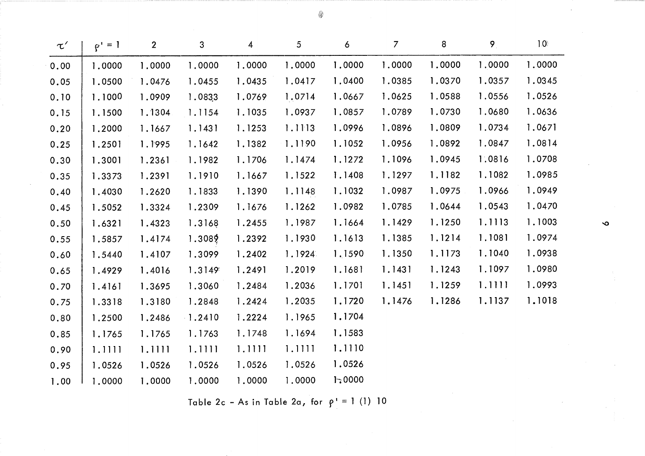| $\tau'$ | $\rho' = 1$ | $\overline{2}$ | 3         | 4      | 5      | 6      | $\overline{7}$ | 8      | 9      | $10^{\circ}$ |  |
|---------|-------------|----------------|-----------|--------|--------|--------|----------------|--------|--------|--------------|--|
| 0.00    | 1.0000      | 1.0000         | 1.0000    | 1.0000 | 1,0000 | 1.0000 | 1.0000         | 1.0000 | 1,0000 | 1,0000       |  |
| 0.05    | 1.0500      | 1.0476         | 1.0455    | 1.0435 | 1.0417 | 1.0400 | 1.0385         | 1.0370 | 1.0357 | 1.0345       |  |
| 0.10    | 1.1000      | 1.0909         | 1.0833    | 1.0769 | 1.0714 | 1.0667 | 1.0625         | 1.0588 | 1.0556 | 1.0526       |  |
| 0.15    | 1.1500      | 1.1304         | 1.1154    | 1.1035 | 1.0937 | 1.0857 | 1.0789         | 1.0730 | 1.0680 | 1.0636       |  |
| 0.20    | 1.2000      | 1.1667         | 1.1431    | 1.1253 | 1.1113 | 1.0996 | 1.0896         | 1.0809 | 1.0734 | 1.0671       |  |
| 0.25    | 1.2501      | 1.1995         | 1.1642    | 1.1382 | 1.1190 | 1.1052 | 1.0956         | 1.0892 | 1.0847 | 1.0814       |  |
| 0.30    | 1.3001      | 1.2361         | 1.1982    | 1.1706 | 1.1474 | 1.1272 | 1.1096         | 1.0945 | 1.0816 | 1.0708       |  |
| 0.35    | 1.3373      | 1.2391         | 1.1910    | 1.1667 | 1.1522 | 1.1408 | 1.1297         | 1.1182 | 1.1082 | 1.0985       |  |
| 0.40    | 1.4030      | 1.2620         | 1.1833    | 1.1390 | 1.1148 | 1.1032 | 1.0987         | 1.0975 | 1.0966 | 1.0949       |  |
| 0.45    | 1.5052      | 1.3324         | 1.2309    | 1.1676 | 1.1262 | 1.0982 | 1.0785         | 1.0644 | 1.0543 | 1.0470       |  |
| 0.50    | 1.6321      | 1.4323         | 1.3168    | 1.2455 | 1.1987 | 1.1664 | 1.1429         | 1.1250 | 1.1113 | 1.1003       |  |
| 0.55    | 1.5857      | 1.4174         | 1.3089    | 1.2392 | 1.1930 | 1.1613 | 1.1385         | 1.1214 | 1.1081 | 1.0974       |  |
| 0.60    | 1.5440      | 1.4107         | 1.3099    | 1.2402 | 1.1924 | 1.1590 | 1.1350         | 1.1173 | 1.1040 | 1.0938       |  |
| 0.65    | 1.4929      | 1.4016         | 1.3149    | 1.2491 | 1.2019 | 1.1681 | 1.1431         | 1.1243 | 1.1097 | 1.0980       |  |
| 0.70    | 1.4161      | 1.3695         | 1.3060    | 1.2484 | 1.2036 | 1.1701 | 1.1451         | 1.1259 | 1.1111 | 1.0993       |  |
| 0.75    | 1.3318      | 1.3180         | 1.2848    | 1.2424 | 1.2035 | 1.1720 | 1.1476         | 1.1286 | 1.1137 | 1,1018       |  |
| 0.80    | 1.2500      | 1.2486         | $-1.2410$ | 1.2224 | 1.1965 | 1.1704 |                |        |        |              |  |
| 0.85    | 1.1765      | 1.1765         | 1.1763    | 1.1748 | 1.1694 | 1.1583 |                |        |        |              |  |
| 0.90    | 1.1111      | 1.1111         | 1.1111    | 1.1111 | 1.1111 | 1.1110 |                |        |        |              |  |
| 0.95    | 1.0526      | 1.0526         | 1.0526    | 1.0526 | 1.0526 | 1.0526 |                |        |        |              |  |
| 1.00    | 1,0000      | 1,0000         | 1,0000    | 1,0000 | 1.0000 | 1:0000 |                |        |        |              |  |

◈

Table 2c - As in Table 2a, for  $\rho' = 1$  (1) 10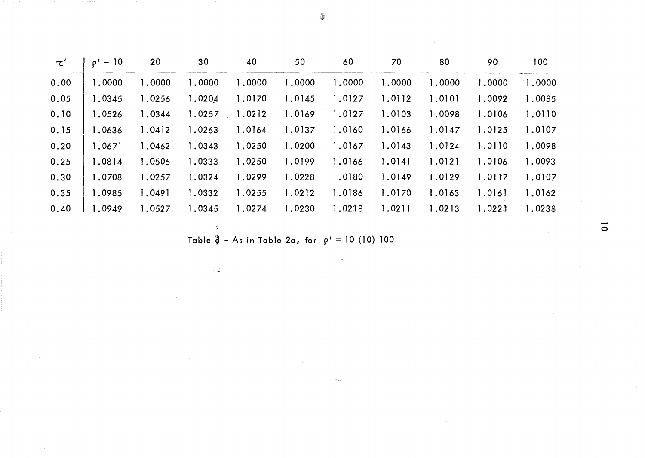| $\tau'$ | $= 10$<br>$\rho^+$ | 20     | 30     | 40     | 50     | 60     | 70     | 80     | 90     | 100    |
|---------|--------------------|--------|--------|--------|--------|--------|--------|--------|--------|--------|
| 0.00    | 1,0000             | 1,0000 | 1,0000 | 1,0000 | 1,0000 | 1,0000 | 1,0000 | 1,0000 | 1,0000 | 1,0000 |
| 0.05    | 1.0345             | 1,0256 | 1.0204 | 1.0170 | 1.0145 | 1.0127 | 1.0112 | 1.0101 | 1.0092 | 1.0085 |
| 0.10    | 1.0526             | 1.0344 | 1.0257 | 1.0212 | 1.0169 | 1.0127 | 1.0103 | 1.0098 | 1.0106 | 1.0110 |
| 0.15    | 1.0636             | 1.0412 | 1.0263 | 1.0164 | 1.0137 | 1.0160 | 1.0166 | 1.0147 | 1.0125 | 1.0107 |
| 0, 20   | 1.0671             | 1.0462 | 1.0343 | 1.0250 | 1.0200 | 1.0167 | 1.0143 | 1.0124 | 1.0110 | 1.0098 |
| 0.25    | 1.0814             | 1.0506 | 1.0333 | 1.0250 | 1.0199 | 1.0166 | 1.0141 | 1.0121 | 1.0106 | 1.0093 |
| 0.30    | 1.0708             | 1.0257 | 1.0324 | 1.0299 | 1.0228 | 1.0180 | 1.0149 | 1.0129 | 1.0117 | 1.0107 |
| 0.35    | 1.0985             | 1.0491 | 1.0332 | 1.0255 | 1.0212 | 1.0186 | 1.0170 | 1.0163 | 1.0161 | 1.0162 |
| 0.40    | 1.0949             | 1.0527 | 1.0345 | 1.0274 | 1.0230 | 1.0218 | 1.0211 | 1.0213 | 1.0221 | 1.0238 |

Table  $\ddot{\phi}$  - As in Table 2a, for  $\rho' = 10$  (10) 100

 $\bar{\xi}$ 

 $\omega$   $\mathbb{Q}$ 

 $\overline{\circ}$ 

◈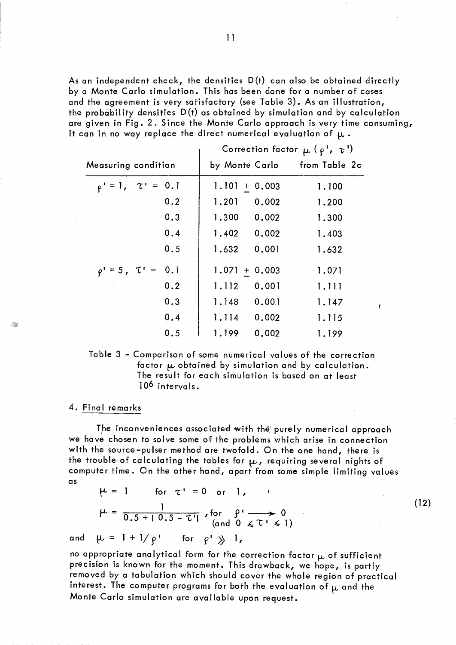As an independent check, the densities  $D(t)$  can also be obtained directly by a Monte Carlo simulation. This has been done for a number of cases and the agreement is very satisfactory (see Table 3). As an illustration, the probability densities  $D(t)$  as obtained by simulation and by calculation are given in Fig. 2. Since the Monte Carlo approach is very time consuming, it can in no way replace the direct numerical evaluation of  $\mu$  .

|                                | Correction factor $\mu$ ( $\rho$ ', $\tau$ ') |       |
|--------------------------------|-----------------------------------------------|-------|
| Measuring condition            | by Monte Carlo from Table 2c                  |       |
| $\rho' = 1, \quad \tau' = 0.1$ | $1.101 + 0.003$                               | 1.100 |
| 0.2                            | 1.201<br>0.002                                | 1.200 |
| 0.3                            | 0.002<br>1.300                                | 1.300 |
| 0.4                            | 1.402 0.002                                   | 1.403 |
| 0.5                            | 0.001<br>1.632                                | 1.632 |
| $\rho' = 5$ , $\tau' = 0.1$    | $1.071 + 0.003$                               | 1.071 |
| 0.2                            | 1.112<br>0.001                                | 1.111 |
| 0.3                            | 0.001<br>1.148                                | 1.147 |
| 0.4                            | 1.114 0.002                                   | 1.115 |
| 0.5                            | 0.002<br>1.199                                | 1.199 |

Table 3 - Comparison of some numerical values of the correction factor  $\mu$  obtained by simulation and by calculation. The result for each simulation is based on at least 10<sup>6</sup> intervals.

ť

 $(12)$ 

#### 4. Final remarks

Q.

The inconveniences associated with the purely numerical approach we have chosen to solve some of the problems which arise in connection with the source-pulser method are twofold. On the one hand, there is the trouble of calculating the tables for  $\mu$ , requiring several nights of computer time. On the other hand, apart from some simple limiting values  $\alpha s$ 

 $\mu = 1$ for  $\tau' = 0$  or  $l$ ,  $\mu = \frac{1}{0.5 + 10.5 - \tau i}$ , for  $\int_{\text{and } 0}^{1} \frac{\rho}{\xi \tau} \to 0$ 

 $\mu = 1 + 1/\rho'$  for  $\rho' \gg 1$ , and

no appropriate analytical form for the correction factor  $\boldsymbol{\mu}$  of sufficient precision is known for the moment. This drawback, we hope, is partly removed by a tabulation which should cover the whole region of practical interest. The computer programs for both the evaluation of  $\mu$  and the Monte Carlo simulation are available upon request.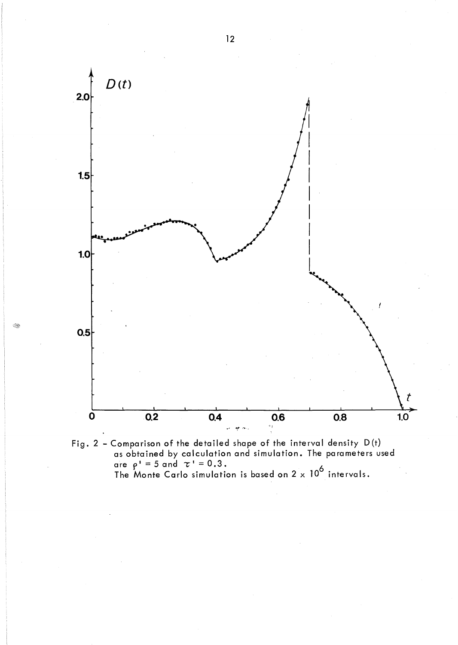

Fig. 2 - Comparison of the detailed shape of the interval density D(t) as obtained by calculation and simulation. The parameters used are  $\rho' = 5$  and  $\tau' = 0.3$ . The Monte Carlo simulation is based on  $2 \times 10^6$  intervals.

 $\otimes$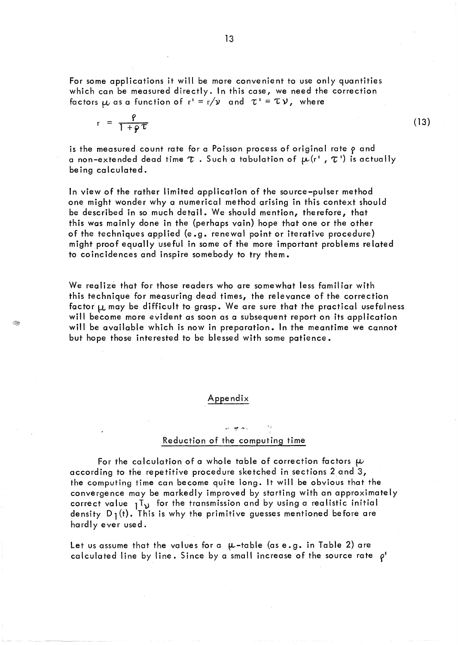For some applications it will be more convenient to use only quantities which can be measured directly. In this case, we need the correction factors  $\mu$  as a function of  $r' = r/\nu$  and  $\tau' = \tau \nu$ , where

$$
r = \frac{\rho}{1 + \rho \tau}
$$

Œ

is the measured count rate for a Poisson process of original rate  $\rho$  and a non-extended dead time  $\tau$  . Such a tabulation of  $\mu(r^*$  ,  $\tau^+)$  is actually being calculated.

In view of the rather limited application of the source-pulser method one might wonder why a numerical method arising in this context should be described in so much detail. We should mention, therefore, that this was mainly done in the (perhaps vain) hope that one or the other of the techniques applied (e.g. renewal point or iterative procedure) might proof equally useful in some of the more important problems related to coincidences and inspire somebody to try them.

We realize that for those readers who are somewhat less familiar with this technique for measuring dead times, the relevance of the correction factor  $\mu$  may be difficult to grasp. We are sure that the practical usefulness will become more evident as soon as a subsequent report on its application will be available which is now in preparation. In the meantime we cannot but hope those interested to be blessed with some patience.

### Appendix

# 'l' ~,. ..... , Reduction of the computing time

For the calculation of a whole table of correction factors  $\mu$ according to the repetitive procedure sketched in sections 2.and 3, the computing time can become quite long. It will be obvious that the convergence may be markedly improved by starting with an approximately correct value  $1^T$  for the transmission and by using a realistic initial density  $D_1(t)$ . This is why the primitive guesses mentioned before are hardly ever used.

Let us assume that the values for a  $\mu$ -table (as e.g. in Table 2) are calculated line by line. Since by a small increase of the source rate  $\rho'$   $(13)$